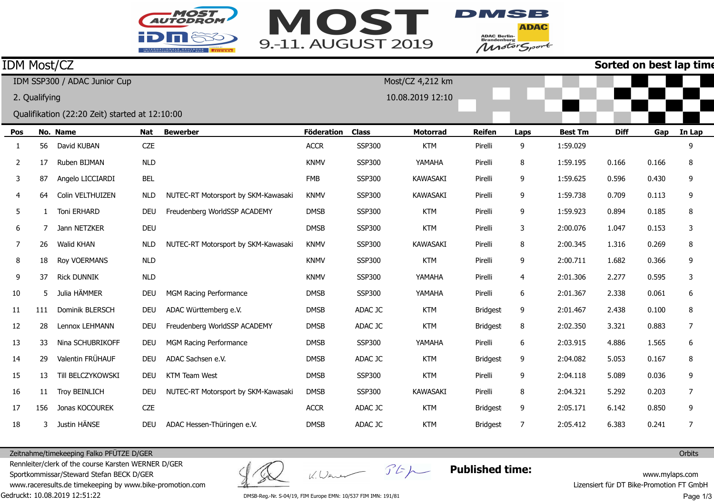



**ADAC** ADAC Berlin-<br>Brandenburg<br>Motor Sport

## **Sorted on best lap time**

| <b>IDM Most/CZ</b> |     |                                                |            |                                     |                   |               |                  |                 |      |                | Sorted on best lap tim |       |        |
|--------------------|-----|------------------------------------------------|------------|-------------------------------------|-------------------|---------------|------------------|-----------------|------|----------------|------------------------|-------|--------|
|                    |     | IDM SSP300 / ADAC Junior Cup                   |            |                                     |                   |               | Most/CZ 4,212 km |                 |      |                |                        |       |        |
| 2. Qualifying      |     |                                                |            |                                     |                   |               | 10.08.2019 12:10 |                 |      |                |                        |       |        |
|                    |     | Qualifikation (22:20 Zeit) started at 12:10:00 |            |                                     |                   |               |                  |                 |      |                |                        |       |        |
| Pos                |     | No. Name                                       | <b>Nat</b> | <b>Bewerber</b>                     | <b>Föderation</b> | <b>Class</b>  | <b>Motorrad</b>  | <b>Reifen</b>   | Laps | <b>Best Tm</b> | <b>Diff</b>            | Gap   | In Lap |
|                    | 56  | David KUBAN                                    | <b>CZE</b> |                                     | <b>ACCR</b>       | SSP300        | <b>KTM</b>       | Pirelli         | 9    | 1:59.029       |                        |       | 9      |
| 2                  | 17  | Ruben BIJMAN                                   | NLD        |                                     | <b>KNMV</b>       | <b>SSP300</b> | YAMAHA           | Pirelli         | 8    | 1:59.195       | 0.166                  | 0.166 | 8      |
| 3                  | 87  | Angelo LICCIARDI                               | <b>BEL</b> |                                     | <b>FMB</b>        | SSP300        | <b>KAWASAKI</b>  | Pirelli         | 9    | 1:59.625       | 0.596                  | 0.430 | 9      |
| 4                  | 64  | Colin VELTHUIZEN                               | <b>NLD</b> | NUTEC-RT Motorsport by SKM-Kawasaki | <b>KNMV</b>       | <b>SSP300</b> | <b>KAWASAKI</b>  | Pirelli         | 9    | 1:59.738       | 0.709                  | 0.113 | 9      |
| 5                  |     | <b>Toni ERHARD</b>                             | <b>DEU</b> | Freudenberg WorldSSP ACADEMY        | <b>DMSB</b>       | SSP300        | <b>KTM</b>       | Pirelli         | 9    | 1:59.923       | 0.894                  | 0.185 | 8      |
| 6                  |     | Jann NETZKER                                   | <b>DEU</b> |                                     | <b>DMSB</b>       | <b>SSP300</b> | <b>KTM</b>       | Pirelli         | 3    | 2:00.076       | 1.047                  | 0.153 | 3      |
| 7                  | 26  | <b>Walid KHAN</b>                              | <b>NLD</b> | NUTEC-RT Motorsport by SKM-Kawasaki | <b>KNMV</b>       | <b>SSP300</b> | <b>KAWASAKI</b>  | Pirelli         | 8    | 2:00.345       | 1.316                  | 0.269 | 8      |
| 8                  | 18  | Roy VOERMANS                                   | <b>NLD</b> |                                     | <b>KNMV</b>       | <b>SSP300</b> | <b>KTM</b>       | Pirelli         | 9    | 2:00.711       | 1.682                  | 0.366 | 9      |
| 9                  | 37  | <b>Rick DUNNIK</b>                             | <b>NLD</b> |                                     | <b>KNMV</b>       | SSP300        | YAMAHA           | Pirelli         | 4    | 2:01.306       | 2.277                  | 0.595 | 3      |
| 10                 | 5   | Julia HÄMMER                                   | <b>DEU</b> | MGM Racing Performance              | <b>DMSB</b>       | SSP300        | YAMAHA           | Pirelli         | 6    | 2:01.367       | 2.338                  | 0.061 | 6      |
| 11                 | 111 | Dominik BLERSCH                                | <b>DEU</b> | ADAC Württemberg e.V.               | <b>DMSB</b>       | ADAC JC       | <b>KTM</b>       | <b>Bridgest</b> | 9    | 2:01.467       | 2.438                  | 0.100 | 8      |
| 12                 | 28  | Lennox LEHMANN                                 | <b>DEU</b> | Freudenberg WorldSSP ACADEMY        | <b>DMSB</b>       | ADAC JC       | <b>KTM</b>       | <b>Bridgest</b> | 8    | 2:02.350       | 3.321                  | 0.883 | 7      |
| 13                 | 33  | Nina SCHUBRIKOFF                               | <b>DEU</b> | MGM Racing Performance              | <b>DMSB</b>       | SSP300        | YAMAHA           | Pirelli         | 6    | 2:03.915       | 4.886                  | 1.565 | 6      |
| 14                 | 29  | Valentin FRÜHAUF                               | <b>DEU</b> | ADAC Sachsen e.V.                   | <b>DMSB</b>       | ADAC JC       | <b>KTM</b>       | <b>Bridgest</b> | 9    | 2:04.082       | 5.053                  | 0.167 | 8      |
| 15                 | 13  | Till BELCZYKOWSKI                              | <b>DEU</b> | <b>KTM Team West</b>                | <b>DMSB</b>       | <b>SSP300</b> | <b>KTM</b>       | Pirelli         | 9    | 2:04.118       | 5.089                  | 0.036 | 9      |
| 16                 | 11  | <b>Troy BEINLICH</b>                           | <b>DEU</b> | NUTEC-RT Motorsport by SKM-Kawasaki | <b>DMSB</b>       | SSP300        | <b>KAWASAKI</b>  | Pirelli         | 8    | 2:04.321       | 5.292                  | 0.203 | 7      |
| 17                 | 156 | Jonas KOCOUREK                                 | <b>CZE</b> |                                     | <b>ACCR</b>       | ADAC JC       | <b>KTM</b>       | <b>Bridgest</b> | 9    | 2:05.171       | 6.142                  | 0.850 | 9      |
| 18                 | 3   | Justin HÄNSE                                   | <b>DEU</b> | ADAC Hessen-Thüringen e.V.          | <b>DMSB</b>       | ADAC JC       | <b>KTM</b>       | <b>Bridgest</b> | 7    | 2:05.412       | 6.383                  | 0.241 | 7      |
|                    |     |                                                |            |                                     |                   |               |                  |                 |      |                |                        |       |        |

Zeitnahme/timekeeping Falko PFÜTZE D/GER

Gedruckt: 10.08.2019 12:51:22 Rennleiter/clerk of the course Karsten WERNER D/GERSportkommissar/Steward Stefan BECK D/GER www.raceresults.de timekeeping by www.bike-promotion.com

K. Wener Stp

**Published time:**

www.mylaps.com Lizensiert für DT Bike-Promotion FT GmbH

DMSB-Reg.-Nr. S-04/19, FIM Europe EMN: 10/537 FIM IMN: 191/81

Page 1/3

**Orbits**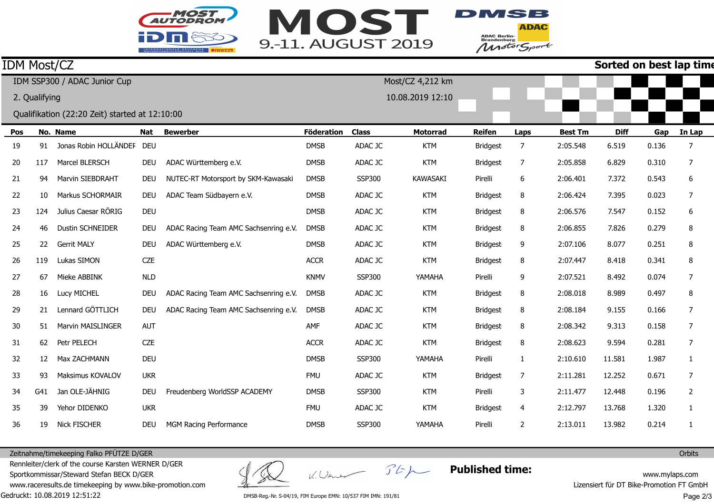



**ADAC** ADAC Berlin-<br>Brandenburg<br>Motor Sport

## **Sorted on best lan time**

| <b>IDM Most/CZ</b> |     |                                                |            |                                       |                   |               |                  |                 |      |                | Sorted on best lap tim |       |                |
|--------------------|-----|------------------------------------------------|------------|---------------------------------------|-------------------|---------------|------------------|-----------------|------|----------------|------------------------|-------|----------------|
|                    |     | IDM SSP300 / ADAC Junior Cup                   |            |                                       |                   |               | Most/CZ 4,212 km |                 |      |                |                        |       |                |
| 2. Qualifying      |     |                                                |            |                                       |                   |               | 10.08.2019 12:10 |                 |      |                |                        |       |                |
|                    |     | Qualifikation (22:20 Zeit) started at 12:10:00 |            |                                       |                   |               |                  |                 |      |                |                        |       |                |
| Pos                |     | No. Name                                       | <b>Nat</b> | <b>Bewerber</b>                       | <b>Föderation</b> | <b>Class</b>  | <b>Motorrad</b>  | <b>Reifen</b>   | Laps | <b>Best Tm</b> | <b>Diff</b>            | Gap   | In Lap         |
| 19                 | 91  | Jonas Robin HOLLÄNDEF DEU                      |            |                                       | <b>DMSB</b>       | ADAC JC       | <b>KTM</b>       | <b>Bridgest</b> | 7    | 2:05.548       | 6.519                  | 0.136 | 7              |
| 20                 | 117 | Marcel BLERSCH                                 | <b>DEU</b> | ADAC Württemberg e.V.                 | <b>DMSB</b>       | ADAC JC       | <b>KTM</b>       | <b>Bridgest</b> | 7    | 2:05.858       | 6.829                  | 0.310 | 7              |
| 21                 | 94  | Marvin SIEBDRAHT                               | <b>DEU</b> | NUTEC-RT Motorsport by SKM-Kawasaki   | <b>DMSB</b>       | <b>SSP300</b> | <b>KAWASAKI</b>  | Pirelli         | 6    | 2:06.401       | 7.372                  | 0.543 | 6              |
| 22                 | 10  | Markus SCHORMAIR                               | <b>DEU</b> | ADAC Team Südbayern e.V.              | <b>DMSB</b>       | ADAC JC       | <b>KTM</b>       | <b>Bridgest</b> | 8    | 2:06.424       | 7.395                  | 0.023 | 7              |
| 23                 | 124 | Julius Caesar RÖRIG                            | <b>DEU</b> |                                       | <b>DMSB</b>       | ADAC JC       | <b>KTM</b>       | <b>Bridgest</b> | 8    | 2:06.576       | 7.547                  | 0.152 | 6              |
| 24                 | 46  | <b>Dustin SCHNEIDER</b>                        | <b>DEU</b> | ADAC Racing Team AMC Sachsenring e.V. | <b>DMSB</b>       | ADAC JC       | <b>KTM</b>       | <b>Bridgest</b> | 8    | 2:06.855       | 7.826                  | 0.279 | 8              |
| 25                 | 22  | <b>Gerrit MALY</b>                             | <b>DEU</b> | ADAC Württemberg e.V.                 | <b>DMSB</b>       | ADAC JC       | <b>KTM</b>       | <b>Bridgest</b> | 9    | 2:07.106       | 8.077                  | 0.251 | 8              |
| 26                 | 119 | Lukas SIMON                                    | <b>CZE</b> |                                       | <b>ACCR</b>       | ADAC JC       | <b>KTM</b>       | <b>Bridgest</b> | 8    | 2:07.447       | 8.418                  | 0.341 | 8              |
| 27                 | 67  | Mieke ABBINK                                   | <b>NLD</b> |                                       | <b>KNMV</b>       | <b>SSP300</b> | YAMAHA           | Pirelli         | 9    | 2:07.521       | 8.492                  | 0.074 | 7              |
| 28                 | 16  | Lucy MICHEL                                    | <b>DEU</b> | ADAC Racing Team AMC Sachsenring e.V. | <b>DMSB</b>       | ADAC JC       | <b>KTM</b>       | <b>Bridgest</b> | 8    | 2:08.018       | 8.989                  | 0.497 | 8              |
| 29                 | 21  | Lennard GÖTTLICH                               | <b>DEU</b> | ADAC Racing Team AMC Sachsenring e.V. | <b>DMSB</b>       | ADAC JC       | <b>KTM</b>       | <b>Bridgest</b> | 8    | 2:08.184       | 9.155                  | 0.166 | 7              |
| 30                 | 51  | Marvin MAISLINGER                              | AUT        |                                       | AMF               | ADAC JC       | <b>KTM</b>       | <b>Bridgest</b> | 8    | 2:08.342       | 9.313                  | 0.158 | 7              |
| 31                 | 62  | Petr PELECH                                    | <b>CZE</b> |                                       | <b>ACCR</b>       | ADAC JC       | <b>KTM</b>       | <b>Bridgest</b> | 8    | 2:08.623       | 9.594                  | 0.281 | 7              |
| 32                 | 12  | Max ZACHMANN                                   | <b>DEU</b> |                                       | <b>DMSB</b>       | <b>SSP300</b> | YAMAHA           | Pirelli         | 1    | 2:10.610       | 11.581                 | 1.987 | 1              |
| 33                 | 93  | Maksimus KOVALOV                               | <b>UKR</b> |                                       | <b>FMU</b>        | ADAC JC       | <b>KTM</b>       | <b>Bridgest</b> | 7    | 2:11.281       | 12.252                 | 0.671 | 7              |
| 34                 | G41 | Jan OLE-JÄHNIG                                 | <b>DEU</b> | Freudenberg WorldSSP ACADEMY          | <b>DMSB</b>       | <b>SSP300</b> | <b>KTM</b>       | Pirelli         | 3    | 2:11.477       | 12.448                 | 0.196 | $\overline{2}$ |
| 35                 | 39  | Yehor DIDENKO                                  | <b>UKR</b> |                                       | <b>FMU</b>        | ADAC JC       | <b>KTM</b>       | <b>Bridgest</b> | 4    | 2:12.797       | 13.768                 | 1.320 | 1              |
| 36                 | 19  | <b>Nick FISCHER</b>                            | <b>DEU</b> | MGM Racing Performance                | <b>DMSB</b>       | <b>SSP300</b> | YAMAHA           | Pirelli         | 2    | 2:13.011       | 13.982                 | 0.214 | 1              |
|                    |     |                                                |            |                                       |                   |               |                  |                 |      |                |                        |       |                |

Zeitnahme/timekeeping Falko PFÜTZE D/GER

Gedruckt: 10.08.2019 12:51:22 Rennleiter/clerk of the course Karsten WERNER D/GERSportkommissar/Steward Stefan BECK D/GER www.raceresults.de timekeeping by www.bike-promotion.com

K. Wener Stp

**Published time:**

www.mylaps.com Lizensiert für DT Bike-Promotion FT GmbH

DMSB-Reg.-Nr. S-04/19, FIM Europe EMN: 10/537 FIM IMN: 191/81

Page 2/3

**Orbits**